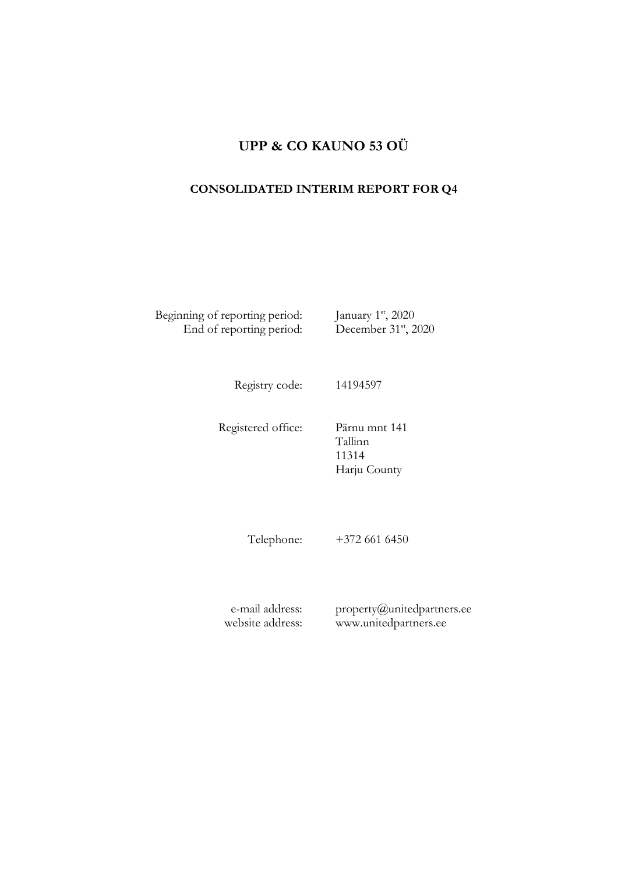# **UPP & CO KAUNO 53 OÜ**

## **CONSOLIDATED INTERIM REPORT FOR Q4**

Beginning of reporting period: January 1<sup>st</sup>, 2020 End of reporting period: December 31<sup>st</sup>, 2020

Registry code: 14194597

Registered office: Pärnu mnt 141

Tallinn 11314 Harju County

Telephone: +372 661 6450

e-mail address: website address: property@unitedpartners.ee www.unitedpartners.ee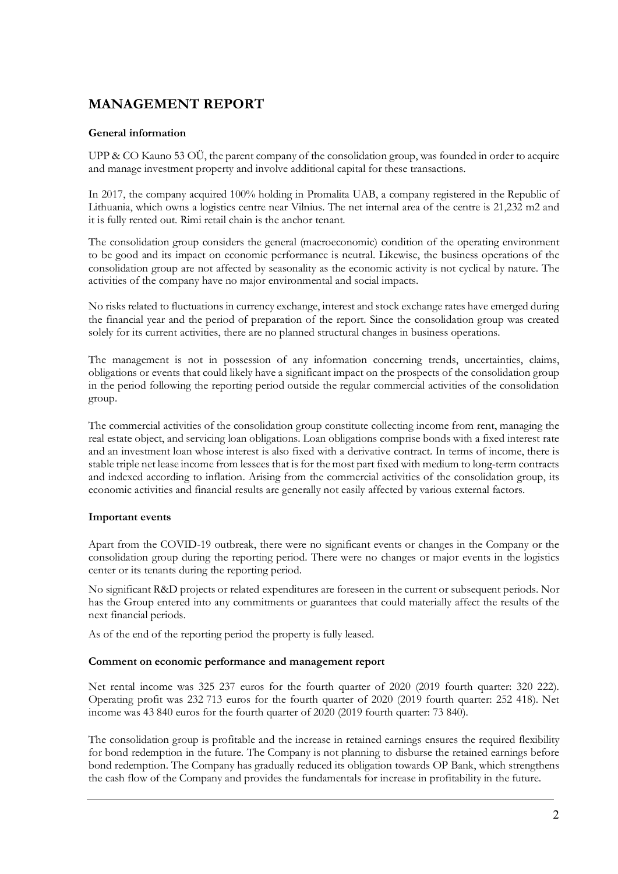# **MANAGEMENT REPORT**

#### **General information**

UPP & CO Kauno 53 OÜ, the parent company of the consolidation group, was founded in order to acquire and manage investment property and involve additional capital for these transactions.

In 2017, the company acquired 100% holding in Promalita UAB, a company registered in the Republic of Lithuania, which owns a logistics centre near Vilnius. The net internal area of the centre is 21,232 m2 and it is fully rented out. Rimi retail chain is the anchor tenant.

The consolidation group considers the general (macroeconomic) condition of the operating environment to be good and its impact on economic performance is neutral. Likewise, the business operations of the consolidation group are not affected by seasonality as the economic activity is not cyclical by nature. The activities of the company have no major environmental and social impacts.

No risks related to fluctuations in currency exchange, interest and stock exchange rates have emerged during the financial year and the period of preparation of the report. Since the consolidation group was created solely for its current activities, there are no planned structural changes in business operations.

The management is not in possession of any information concerning trends, uncertainties, claims, obligations or events that could likely have a significant impact on the prospects of the consolidation group in the period following the reporting period outside the regular commercial activities of the consolidation group.

The commercial activities of the consolidation group constitute collecting income from rent, managing the real estate object, and servicing loan obligations. Loan obligations comprise bonds with a fixed interest rate and an investment loan whose interest is also fixed with a derivative contract. In terms of income, there is stable triple net lease income from lessees that is for the most part fixed with medium to long-term contracts and indexed according to inflation. Arising from the commercial activities of the consolidation group, its economic activities and financial results are generally not easily affected by various external factors.

#### **Important events**

Apart from the COVID-19 outbreak, there were no significant events or changes in the Company or the consolidation group during the reporting period. There were no changes or major events in the logistics center or its tenants during the reporting period.

No significant R&D projects or related expenditures are foreseen in the current or subsequent periods. Nor has the Group entered into any commitments or guarantees that could materially affect the results of the next financial periods.

As of the end of the reporting period the property is fully leased.

#### **Comment on economic performance and management report**

Net rental income was 325 237 euros for the fourth quarter of 2020 (2019 fourth quarter: 320 222). Operating profit was 232 713 euros for the fourth quarter of 2020 (2019 fourth quarter: 252 418). Net income was 43 840 euros for the fourth quarter of 2020 (2019 fourth quarter: 73 840).

The consolidation group is profitable and the increase in retained earnings ensures the required flexibility for bond redemption in the future. The Company is not planning to disburse the retained earnings before bond redemption. The Company has gradually reduced its obligation towards OP Bank, which strengthens the cash flow of the Company and provides the fundamentals for increase in profitability in the future.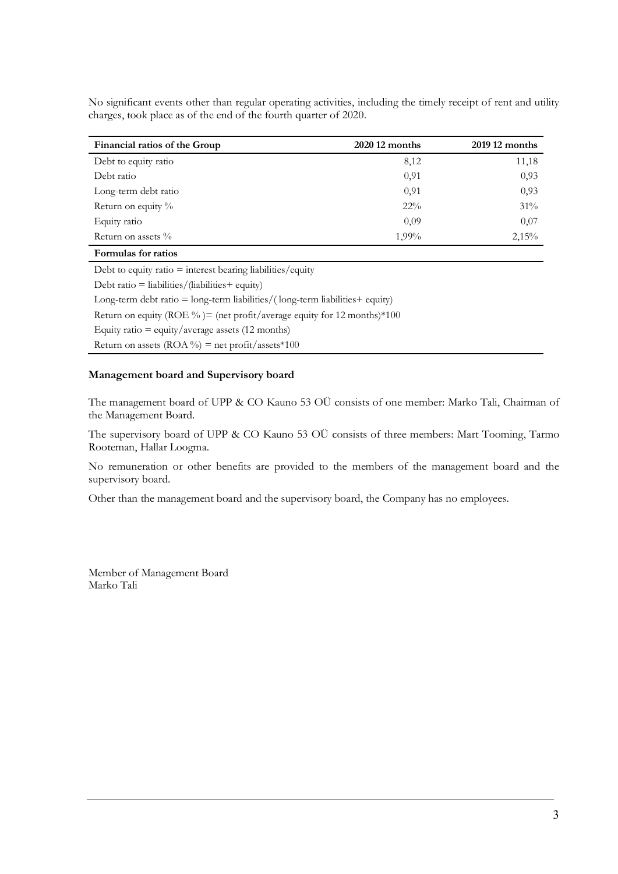No significant events other than regular operating activities, including the timely receipt of rent and utility charges, took place as of the end of the fourth quarter of 2020.

| Financial ratios of the Group | 2020 12 months | 2019 12 months |
|-------------------------------|----------------|----------------|
| Debt to equity ratio          | 8,12           | 11,18          |
| Debt ratio                    | 0.91           | 0,93           |
| Long-term debt ratio          | 0.91           | 0,93           |
| Return on equity %            | $22\%$         | 31%            |
| Equity ratio                  | 0.09           | 0,07           |
| Return on assets $\%$         | 1,99%          | 2,15%          |
| Formulas for ratios           |                |                |

Debt to equity ratio  $=$  interest bearing liabilities/equity

Debt ratio = liabilities/ $(liabili$ ties+ equity)

Long-term debt ratio  $=$  long-term liabilities/(long-term liabilities  $+$  equity) Return on equity (ROE %) = (net profit/average equity for 12 months)  $*100$ 

Equity ratio  $=$  equity/average assets (12 months)

Return on assets  $(ROA \%)$  = net profit/assets\*100

#### **Management board and Supervisory board**

The management board of UPP & CO Kauno 53 OÜ consists of one member: Marko Tali, Chairman of the Management Board.

The supervisory board of UPP & CO Kauno 53 OÜ consists of three members: Mart Tooming, Tarmo Rooteman, Hallar Loogma.

No remuneration or other benefits are provided to the members of the management board and the supervisory board.

Other than the management board and the supervisory board, the Company has no employees.

Member of Management Board Marko Tali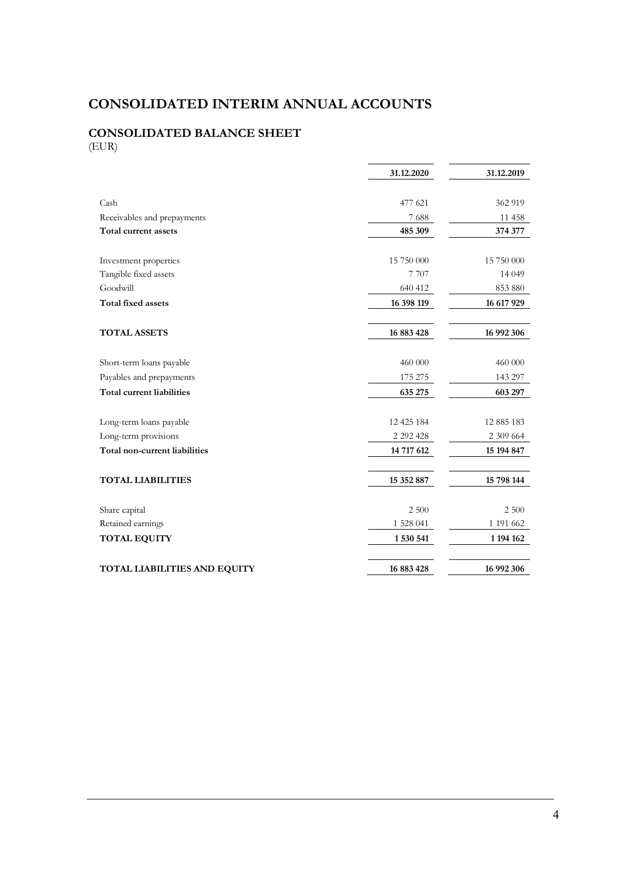# **CONSOLIDATED INTERIM ANNUAL ACCOUNTS**

### **CONSOLIDATED BALANCE SHEET** (EUR)

|                                     | 31.12.2020    | 31.12.2019 |
|-------------------------------------|---------------|------------|
|                                     |               |            |
| Cash                                | 477 621       | 362 919    |
| Receivables and prepayments         | 7688          | 11 458     |
| Total current assets                | 485 309       | 374 377    |
|                                     |               |            |
| Investment properties               | 15 750 000    | 15 750 000 |
| Tangible fixed assets               | 7 7 0 7       | 14 049     |
| Goodwill                            | 640 412       | 853 880    |
| <b>Total fixed assets</b>           | 16 398 119    | 16 617 929 |
| <b>TOTAL ASSETS</b>                 | 16 883 428    | 16 992 306 |
| Short-term loans payable            | 460 000       | 460 000    |
| Payables and prepayments            | 175 275       | 143 297    |
| <b>Total current liabilities</b>    | 635 275       | 603 297    |
| Long-term loans payable             | 12 425 184    | 12 885 183 |
| Long-term provisions                | 2 2 9 2 4 2 8 | 2 309 664  |
| Total non-current liabilities       | 14 717 612    | 15 194 847 |
| <b>TOTAL LIABILITIES</b>            | 15 352 887    | 15 798 144 |
| Share capital                       | 2 500         | 2 500      |
| Retained earnings                   | 1 528 041     | 1 191 662  |
| <b>TOTAL EQUITY</b>                 | 1 530 541     | 1 194 162  |
|                                     |               |            |
| <b>TOTAL LIABILITIES AND EQUITY</b> | 16 883 428    | 16 992 306 |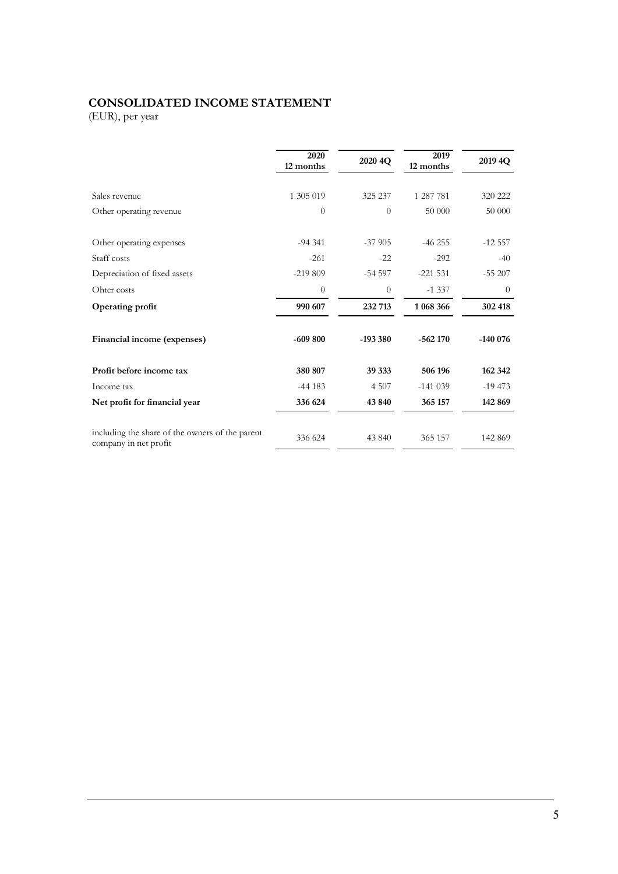## **CONSOLIDATED INCOME STATEMENT**

(EUR), per year

|                                                                          | 2020<br>12 months | 2020 4Q   | 2019<br>12 months | 2019 4Q   |
|--------------------------------------------------------------------------|-------------------|-----------|-------------------|-----------|
| Sales revenue                                                            | 1 305 019         | 325 237   | 1 287 781         | 320 222   |
| Other operating revenue                                                  | $\theta$          | $\theta$  | 50 000            | 50 000    |
| Other operating expenses                                                 | $-94.341$         | $-37905$  | $-46255$          | $-12.557$ |
| Staff costs                                                              | $-261$            | $-22$     | $-292$            | $-40$     |
| Depreciation of fixed assets                                             | $-219809$         | $-54597$  | $-221531$         | $-55207$  |
| Ohter costs                                                              | $\theta$          | $\theta$  | $-1337$           | $\theta$  |
| Operating profit                                                         | 990 607           | 232 713   | 1 068 366         | 302 418   |
| Financial income (expenses)                                              | $-609800$         | $-193380$ | $-562170$         | $-140076$ |
| Profit before income tax                                                 | 380 807           | 39 333    | 506 196           | 162 342   |
| Income tax                                                               | $-44183$          | 4 5 0 7   | $-141039$         | $-19473$  |
| Net profit for financial year                                            | 336 624           | 43 840    | 365 157           | 142 869   |
| including the share of the owners of the parent<br>company in net profit | 336 624           | 43 840    | 365 157           | 142 869   |